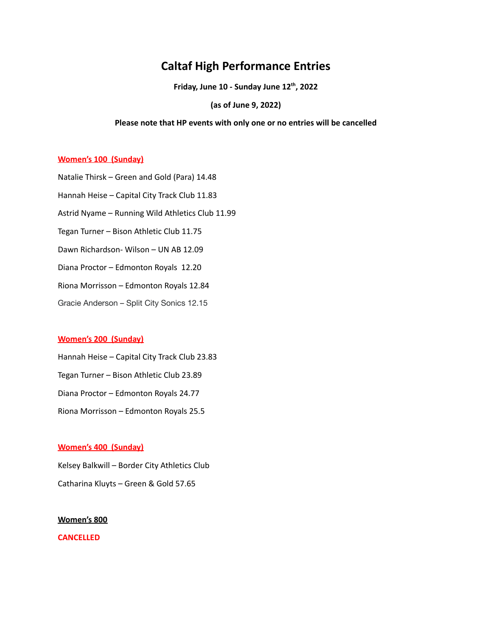# **Caltaf High Performance Entries**

**Friday, June 10 - Sunday June 12 th , 2022**

**(as of June 9, 2022)**

#### **Please note that HP events with only one or no entries will be cancelled**

## **Women's 100 (Sunday)**

Natalie Thirsk – Green and Gold (Para) 14.48 Hannah Heise – Capital City Track Club 11.83 Astrid Nyame – Running Wild Athletics Club 11.99 Tegan Turner – Bison Athletic Club 11.75 Dawn Richardson- Wilson – UN AB 12.09 Diana Proctor – Edmonton Royals 12.20 Riona Morrisson – Edmonton Royals 12.84 Gracie Anderson – Split City Sonics 12.15

## **Women's 200 (Sunday)**

Hannah Heise – Capital City Track Club 23.83 Tegan Turner – Bison Athletic Club 23.89 Diana Proctor – Edmonton Royals 24.77 Riona Morrisson – Edmonton Royals 25.5

#### **Women's 400 (Sunday)**

Kelsey Balkwill – Border City Athletics Club Catharina Kluyts – Green & Gold 57.65

# **Women's 800**

**CANCELLED**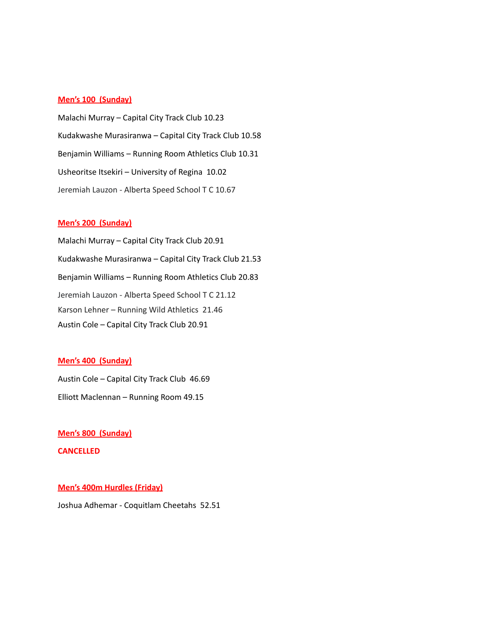## **Men's 100 (Sunday)**

Malachi Murray – Capital City Track Club 10.23 Kudakwashe Murasiranwa – Capital City Track Club 10.58 Benjamin Williams – Running Room Athletics Club 10.31 Usheoritse Itsekiri – University of Regina 10.02 Jeremiah Lauzon - Alberta Speed School T C 10.67

# **Men's 200 (Sunday)**

Malachi Murray – Capital City Track Club 20.91 Kudakwashe Murasiranwa – Capital City Track Club 21.53 Benjamin Williams – Running Room Athletics Club 20.83 Jeremiah Lauzon - Alberta Speed School T C 21.12 Karson Lehner – Running Wild Athletics 21.46 Austin Cole – Capital City Track Club 20.91

## **Men's 400 (Sunday)**

Austin Cole – Capital City Track Club 46.69 Elliott Maclennan – Running Room 49.15

**Men's 800 (Sunday)**

**CANCELLED**

#### **Men's 400m Hurdles (Friday)**

Joshua Adhemar - Coquitlam Cheetahs 52.51